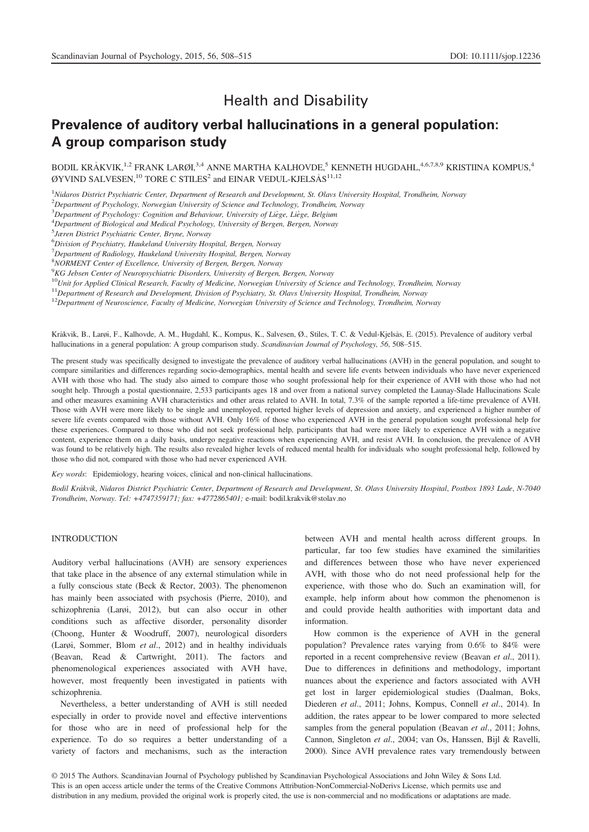# Health and Disability

# Prevalence of auditory verbal hallucinations in a general population: A group comparison study

BODIL KRÅKVIK,<sup>1,2</sup> FRANK LARØI,<sup>3,4</sup> ANNE MARTHA KALHOVDE,<sup>5</sup> KENNETH HUGDAHL,<sup>4,6,7,8,9</sup> KRISTIINA KOMPUS,<sup>4</sup> ØYVIND SALVESEN,  $^{10}$  TORE C STILES<sup>2</sup> and EINAR VEDUL-KJELSÅS<sup>11,12</sup>

<sup>1</sup>Nidaros District Psychiatric Center, Department of Research and Development, St. Olavs University Hospital, Trondheim, Norway

 $^{2}$ Department of Psychology, Norwegian University of Science and Technology, Trondheim, Norway

 $3$ Department of Psychology: Cognition and Behaviour, University of Liège, Liège, Belgium

<sup>4</sup>Department of Biological and Medical Psychology, University of Bergen, Bergen, Norway

5 Jæren District Psychiatric Center, Bryne, Norway

6 Division of Psychiatry, Haukeland University Hospital, Bergen, Norway

 $<sup>7</sup>D$ epartment of Radiology, Haukeland University Hospital, Bergen, Norway</sup>

8 NORMENT Center of Excellence, University of Bergen, Bergen, Norway

 ${}^{9}$ KG Jebsen Center of Neuropsychiatric Disorders, University of Bergen, Bergen, Norway

<sup>10</sup>Unit for Applied Clinical Research, Faculty of Medicine, Norwegian University of Science and Technology, Trondheim, Norway

<sup>11</sup>Department of Research and Development, Division of Psychiatry, St. Olavs University Hospital, Trondheim, Norway

 $12$ Department of Neuroscience, Faculty of Medicine, Norwegian University of Science and Technology, Trondheim, Norway

Krakvik, B., Larøi, F., Kalhovde, A. M., Hugdahl, K., Kompus, K., Salvesen, Ø., Stiles, T. C. & Vedul-Kjelsas, E. (2015). Prevalence of auditory verbal hallucinations in a general population: A group comparison study. Scandinavian Journal of Psychology, 56, 508–515.

The present study was specifically designed to investigate the prevalence of auditory verbal hallucinations (AVH) in the general population, and sought to compare similarities and differences regarding socio-demographics, mental health and severe life events between individuals who have never experienced AVH with those who had. The study also aimed to compare those who sought professional help for their experience of AVH with those who had not sought help. Through a postal questionnaire, 2,533 participants ages 18 and over from a national survey completed the Launay-Slade Hallucinations Scale and other measures examining AVH characteristics and other areas related to AVH. In total, 7.3% of the sample reported a life-time prevalence of AVH. Those with AVH were more likely to be single and unemployed, reported higher levels of depression and anxiety, and experienced a higher number of severe life events compared with those without AVH. Only 16% of those who experienced AVH in the general population sought professional help for these experiences. Compared to those who did not seek professional help, participants that had were more likely to experience AVH with a negative content, experience them on a daily basis, undergo negative reactions when experiencing AVH, and resist AVH. In conclusion, the prevalence of AVH was found to be relatively high. The results also revealed higher levels of reduced mental health for individuals who sought professional help, followed by those who did not, compared with those who had never experienced AVH.

Key words: Epidemiology, hearing voices, clinical and non-clinical hallucinations.

Bodil Krakvik, Nidaros District Psychiatric Center, Department of Research and Development, St. Olavs University Hospital, Postbox 1893 Lade, N-7040 Trondheim, Norway. Tel: +4747359171; fax: +4772865401; e-mail: bodil.krakvik@stolav.no

# INTRODUCTION

Auditory verbal hallucinations (AVH) are sensory experiences that take place in the absence of any external stimulation while in a fully conscious state (Beck & Rector, 2003). The phenomenon has mainly been associated with psychosis (Pierre, 2010), and schizophrenia (Larøi, 2012), but can also occur in other conditions such as affective disorder, personality disorder (Choong, Hunter & Woodruff, 2007), neurological disorders (Larøi, Sommer, Blom et al., 2012) and in healthy individuals (Beavan, Read & Cartwright, 2011). The factors and phenomenological experiences associated with AVH have, however, most frequently been investigated in patients with schizophrenia.

Nevertheless, a better understanding of AVH is still needed especially in order to provide novel and effective interventions for those who are in need of professional help for the experience. To do so requires a better understanding of a variety of factors and mechanisms, such as the interaction

between AVH and mental health across different groups. In particular, far too few studies have examined the similarities and differences between those who have never experienced AVH, with those who do not need professional help for the experience, with those who do. Such an examination will, for example, help inform about how common the phenomenon is and could provide health authorities with important data and information.

How common is the experience of AVH in the general population? Prevalence rates varying from 0.6% to 84% were reported in a recent comprehensive review (Beavan et al., 2011). Due to differences in definitions and methodology, important nuances about the experience and factors associated with AVH get lost in larger epidemiological studies (Daalman, Boks, Diederen et al., 2011; Johns, Kompus, Connell et al., 2014). In addition, the rates appear to be lower compared to more selected samples from the general population (Beavan et al., 2011; Johns, Cannon, Singleton et al., 2004; van Os, Hanssen, Bijl & Ravelli, 2000). Since AVH prevalence rates vary tremendously between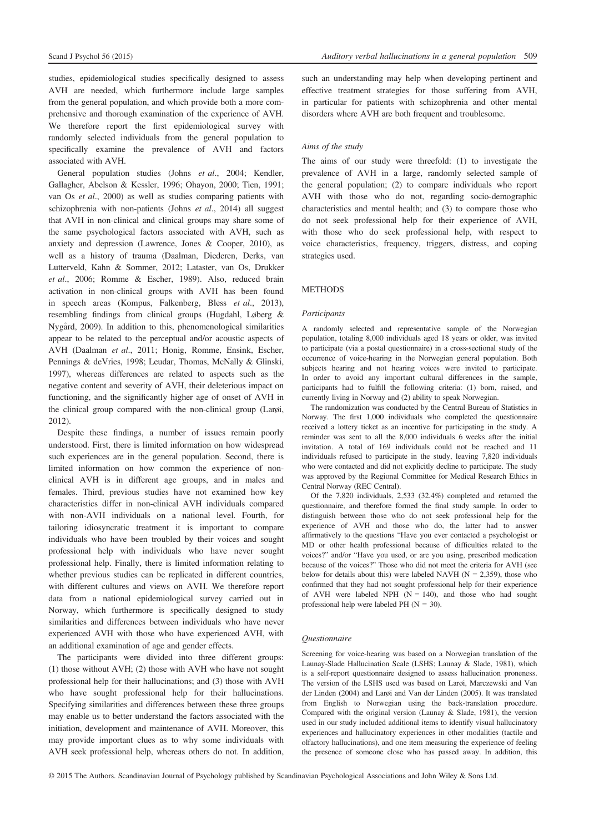studies, epidemiological studies specifically designed to assess AVH are needed, which furthermore include large samples from the general population, and which provide both a more comprehensive and thorough examination of the experience of AVH. We therefore report the first epidemiological survey with randomly selected individuals from the general population to specifically examine the prevalence of AVH and factors associated with AVH.

General population studies (Johns et al., 2004; Kendler, Gallagher, Abelson & Kessler, 1996; Ohayon, 2000; Tien, 1991; van Os et al., 2000) as well as studies comparing patients with schizophrenia with non-patients (Johns et al., 2014) all suggest that AVH in non-clinical and clinical groups may share some of the same psychological factors associated with AVH, such as anxiety and depression (Lawrence, Jones & Cooper, 2010), as well as a history of trauma (Daalman, Diederen, Derks, van Lutterveld, Kahn & Sommer, 2012; Lataster, van Os, Drukker et al., 2006; Romme & Escher, 1989). Also, reduced brain activation in non-clinical groups with AVH has been found in speech areas (Kompus, Falkenberg, Bless et al., 2013), resembling findings from clinical groups (Hugdahl, Løberg & Nygard, 2009). In addition to this, phenomenological similarities appear to be related to the perceptual and/or acoustic aspects of AVH (Daalman et al., 2011; Honig, Romme, Ensink, Escher, Pennings & deVries, 1998; Leudar, Thomas, McNally & Glinski, 1997), whereas differences are related to aspects such as the negative content and severity of AVH, their deleterious impact on functioning, and the significantly higher age of onset of AVH in the clinical group compared with the non-clinical group (Larøi, 2012).

Despite these findings, a number of issues remain poorly understood. First, there is limited information on how widespread such experiences are in the general population. Second, there is limited information on how common the experience of nonclinical AVH is in different age groups, and in males and females. Third, previous studies have not examined how key characteristics differ in non-clinical AVH individuals compared with non-AVH individuals on a national level. Fourth, for tailoring idiosyncratic treatment it is important to compare individuals who have been troubled by their voices and sought professional help with individuals who have never sought professional help. Finally, there is limited information relating to whether previous studies can be replicated in different countries, with different cultures and views on AVH. We therefore report data from a national epidemiological survey carried out in Norway, which furthermore is specifically designed to study similarities and differences between individuals who have never experienced AVH with those who have experienced AVH, with an additional examination of age and gender effects.

The participants were divided into three different groups: (1) those without AVH; (2) those with AVH who have not sought professional help for their hallucinations; and (3) those with AVH who have sought professional help for their hallucinations. Specifying similarities and differences between these three groups may enable us to better understand the factors associated with the initiation, development and maintenance of AVH. Moreover, this may provide important clues as to why some individuals with AVH seek professional help, whereas others do not. In addition, such an understanding may help when developing pertinent and effective treatment strategies for those suffering from AVH, in particular for patients with schizophrenia and other mental disorders where AVH are both frequent and troublesome.

# Aims of the study

The aims of our study were threefold: (1) to investigate the prevalence of AVH in a large, randomly selected sample of the general population; (2) to compare individuals who report AVH with those who do not, regarding socio-demographic characteristics and mental health; and (3) to compare those who do not seek professional help for their experience of AVH, with those who do seek professional help, with respect to voice characteristics, frequency, triggers, distress, and coping strategies used.

# **METHODS**

### Participants

A randomly selected and representative sample of the Norwegian population, totaling 8,000 individuals aged 18 years or older, was invited to participate (via a postal questionnaire) in a cross-sectional study of the occurrence of voice-hearing in the Norwegian general population. Both subjects hearing and not hearing voices were invited to participate. In order to avoid any important cultural differences in the sample, participants had to fulfill the following criteria: (1) born, raised, and currently living in Norway and (2) ability to speak Norwegian.

The randomization was conducted by the Central Bureau of Statistics in Norway. The first 1,000 individuals who completed the questionnaire received a lottery ticket as an incentive for participating in the study. A reminder was sent to all the 8,000 individuals 6 weeks after the initial invitation. A total of 169 individuals could not be reached and 11 individuals refused to participate in the study, leaving 7,820 individuals who were contacted and did not explicitly decline to participate. The study was approved by the Regional Committee for Medical Research Ethics in Central Norway (REC Central).

Of the 7,820 individuals, 2,533 (32.4%) completed and returned the questionnaire, and therefore formed the final study sample. In order to distinguish between those who do not seek professional help for the experience of AVH and those who do, the latter had to answer affirmatively to the questions "Have you ever contacted a psychologist or MD or other health professional because of difficulties related to the voices?" and/or "Have you used, or are you using, prescribed medication because of the voices?" Those who did not meet the criteria for AVH (see below for details about this) were labeled NAVH ( $N = 2,359$ ), those who confirmed that they had not sought professional help for their experience of AVH were labeled NPH  $(N = 140)$ , and those who had sought professional help were labeled PH  $(N = 30)$ .

### Questionnaire

Screening for voice-hearing was based on a Norwegian translation of the Launay-Slade Hallucination Scale (LSHS; Launay & Slade, 1981), which is a self-report questionnaire designed to assess hallucination proneness. The version of the LSHS used was based on Larøi, Marczewski and Van der Linden (2004) and Larøi and Van der Linden (2005). It was translated from English to Norwegian using the back-translation procedure. Compared with the original version (Launay & Slade, 1981), the version used in our study included additional items to identify visual hallucinatory experiences and hallucinatory experiences in other modalities (tactile and olfactory hallucinations), and one item measuring the experience of feeling the presence of someone close who has passed away. In addition, this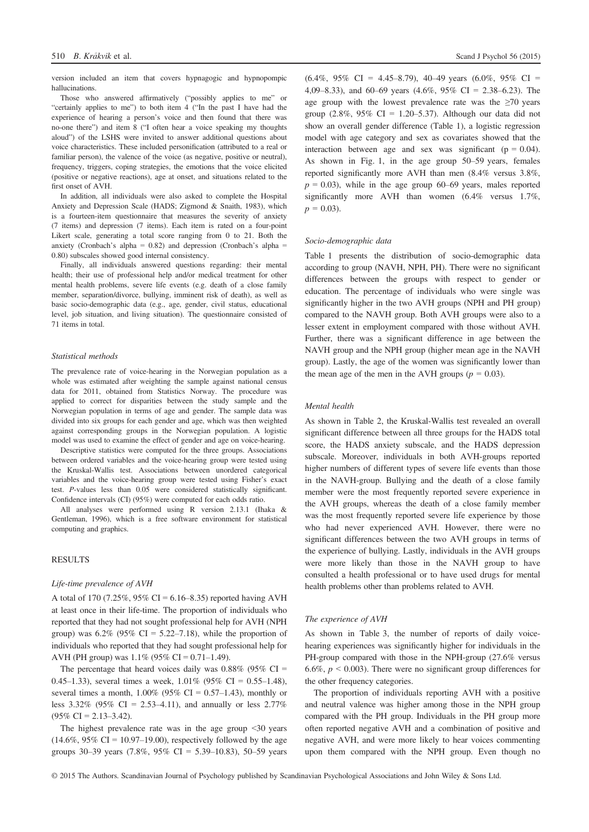version included an item that covers hypnagogic and hypnopompic hallucinations.

Those who answered affirmatively ("possibly applies to me" or "certainly applies to me") to both item 4 ("In the past I have had the experience of hearing a person's voice and then found that there was no-one there") and item 8 ("I often hear a voice speaking my thoughts aloud") of the LSHS were invited to answer additional questions about voice characteristics. These included personification (attributed to a real or familiar person), the valence of the voice (as negative, positive or neutral), frequency, triggers, coping strategies, the emotions that the voice elicited (positive or negative reactions), age at onset, and situations related to the first onset of AVH.

In addition, all individuals were also asked to complete the Hospital Anxiety and Depression Scale (HADS; Zigmond & Snaith, 1983), which is a fourteen-item questionnaire that measures the severity of anxiety (7 items) and depression (7 items). Each item is rated on a four-point Likert scale, generating a total score ranging from 0 to 21. Both the anxiety (Cronbach's alpha =  $0.82$ ) and depression (Cronbach's alpha = 0.80) subscales showed good internal consistency.

Finally, all individuals answered questions regarding: their mental health; their use of professional help and/or medical treatment for other mental health problems, severe life events (e.g. death of a close family member, separation/divorce, bullying, imminent risk of death), as well as basic socio-demographic data (e.g., age, gender, civil status, educational level, job situation, and living situation). The questionnaire consisted of 71 items in total.

#### Statistical methods

The prevalence rate of voice-hearing in the Norwegian population as a whole was estimated after weighting the sample against national census data for 2011, obtained from Statistics Norway. The procedure was applied to correct for disparities between the study sample and the Norwegian population in terms of age and gender. The sample data was divided into six groups for each gender and age, which was then weighted against corresponding groups in the Norwegian population. A logistic model was used to examine the effect of gender and age on voice-hearing.

Descriptive statistics were computed for the three groups. Associations between ordered variables and the voice-hearing group were tested using the Kruskal-Wallis test. Associations between unordered categorical variables and the voice-hearing group were tested using Fisher's exact test. P-values less than 0.05 were considered statistically significant. Confidence intervals (CI) (95%) were computed for each odds ratio.

All analyses were performed using R version 2.13.1 (Ihaka & Gentleman, 1996), which is a free software environment for statistical computing and graphics.

# RESULTS

#### Life-time prevalence of AVH

A total of 170 (7.25%, 95% CI = 6.16–8.35) reported having AVH at least once in their life-time. The proportion of individuals who reported that they had not sought professional help for AVH (NPH group) was  $6.2\%$  (95% CI = 5.22–7.18), while the proportion of individuals who reported that they had sought professional help for AVH (PH group) was  $1.1\%$  (95% CI = 0.71–1.49).

The percentage that heard voices daily was  $0.88\%$  (95% CI = 0.45–1.33), several times a week,  $1.01\%$  (95% CI = 0.55–1.48), several times a month,  $1.00\%$  (95% CI = 0.57–1.43), monthly or less  $3.32\%$  (95% CI = 2.53–4.11), and annually or less 2.77%  $(95\% \text{ CI} = 2.13 - 3.42).$ 

The highest prevalence rate was in the age group <30 years  $(14.6\%, 95\% \text{ CI} = 10.97-19.00)$ , respectively followed by the age groups 30–39 years  $(7.8\%, 95\% \text{ CI} = 5.39-10.83)$ , 50–59 years

 $(6.4\%, 95\% \text{ CI} = 4.45-8.79), 40-49 \text{ years } (6.0\%, 95\% \text{ CI} =$ 4,09–8.33), and 60–69 years (4.6%, 95% CI = 2.38–6.23). The age group with the lowest prevalence rate was the  $\geq 70$  years group (2.8%, 95% CI = 1.20–5.37). Although our data did not show an overall gender difference (Table 1), a logistic regression model with age category and sex as covariates showed that the interaction between age and sex was significant ( $p = 0.04$ ). As shown in Fig. 1, in the age group 50–59 years, females reported significantly more AVH than men (8.4% versus 3.8%,  $p = 0.03$ ), while in the age group 60–69 years, males reported significantly more AVH than women (6.4% versus 1.7%,  $p = 0.03$ ).

#### Socio-demographic data

Table 1 presents the distribution of socio-demographic data according to group (NAVH, NPH, PH). There were no significant differences between the groups with respect to gender or education. The percentage of individuals who were single was significantly higher in the two AVH groups (NPH and PH group) compared to the NAVH group. Both AVH groups were also to a lesser extent in employment compared with those without AVH. Further, there was a significant difference in age between the NAVH group and the NPH group (higher mean age in the NAVH group). Lastly, the age of the women was significantly lower than the mean age of the men in the AVH groups ( $p = 0.03$ ).

# Mental health

As shown in Table 2, the Kruskal-Wallis test revealed an overall significant difference between all three groups for the HADS total score, the HADS anxiety subscale, and the HADS depression subscale. Moreover, individuals in both AVH-groups reported higher numbers of different types of severe life events than those in the NAVH-group. Bullying and the death of a close family member were the most frequently reported severe experience in the AVH groups, whereas the death of a close family member was the most frequently reported severe life experience by those who had never experienced AVH. However, there were no significant differences between the two AVH groups in terms of the experience of bullying. Lastly, individuals in the AVH groups were more likely than those in the NAVH group to have consulted a health professional or to have used drugs for mental health problems other than problems related to AVH.

#### The experience of AVH

As shown in Table 3, the number of reports of daily voicehearing experiences was significantly higher for individuals in the PH-group compared with those in the NPH-group (27.6% versus 6.6%,  $p < 0.003$ ). There were no significant group differences for the other frequency categories.

The proportion of individuals reporting AVH with a positive and neutral valence was higher among those in the NPH group compared with the PH group. Individuals in the PH group more often reported negative AVH and a combination of positive and negative AVH, and were more likely to hear voices commenting upon them compared with the NPH group. Even though no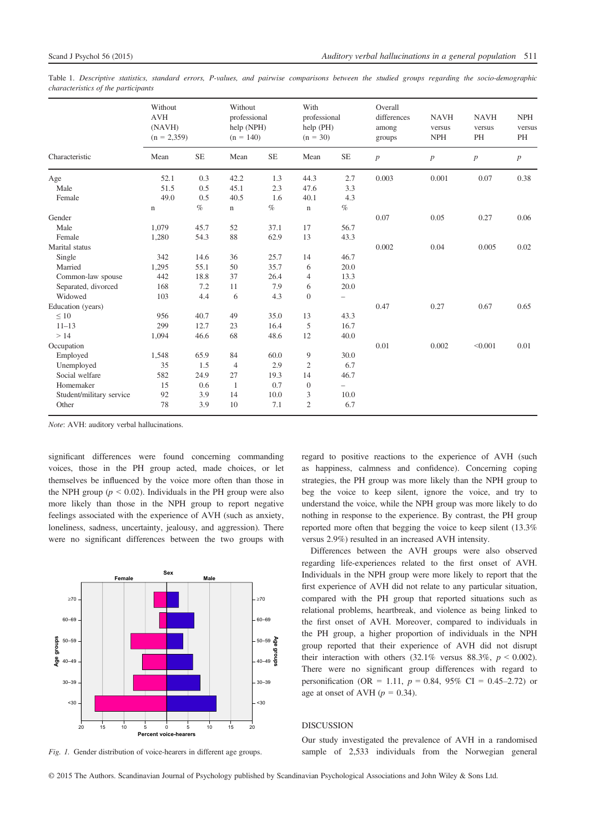Table 1. Descriptive statistics, standard errors, P-values, and pairwise comparisons between the studied groups regarding the socio-demographic characteristics of the participants

|                          | Without<br><b>AVH</b><br>(NAVH)<br>$(n = 2,359)$ |           | Without<br>professional<br>help (NPH)<br>$(n = 140)$ |           | With<br>professional<br>help (PH)<br>$(n = 30)$ |                          | Overall<br>differences<br>among<br>groups | <b>NAVH</b><br>versus<br><b>NPH</b> | <b>NAVH</b><br>versus<br>PH | <b>NPH</b><br>versus<br>PH |
|--------------------------|--------------------------------------------------|-----------|------------------------------------------------------|-----------|-------------------------------------------------|--------------------------|-------------------------------------------|-------------------------------------|-----------------------------|----------------------------|
| Characteristic           | Mean                                             | <b>SE</b> | Mean                                                 | <b>SE</b> | Mean                                            | <b>SE</b>                | p                                         | $\boldsymbol{p}$                    | p                           | $\boldsymbol{p}$           |
| Age                      | 52.1                                             | 0.3       | 42.2                                                 | 1.3       | 44.3                                            | 2.7                      | 0.003                                     | 0.001                               | 0.07                        | 0.38                       |
| Male                     | 51.5                                             | 0.5       | 45.1                                                 | 2.3       | 47.6                                            | 3.3                      |                                           |                                     |                             |                            |
| Female                   | 49.0                                             | 0.5       | 40.5                                                 | 1.6       | 40.1                                            | 4.3                      |                                           |                                     |                             |                            |
|                          | $\mathbf n$                                      | $\%$      | n                                                    | $\%$      | $\mathbf n$                                     | $\%$                     |                                           |                                     |                             |                            |
| Gender                   |                                                  |           |                                                      |           |                                                 |                          | 0.07                                      | 0.05                                | 0.27                        | 0.06                       |
| Male                     | 1,079                                            | 45.7      | 52                                                   | 37.1      | 17                                              | 56.7                     |                                           |                                     |                             |                            |
| Female                   | 1,280                                            | 54.3      | 88                                                   | 62.9      | 13                                              | 43.3                     |                                           |                                     |                             |                            |
| Marital status           |                                                  |           |                                                      |           |                                                 |                          | 0.002                                     | 0.04                                | 0.005                       | 0.02                       |
| Single                   | 342                                              | 14.6      | 36                                                   | 25.7      | 14                                              | 46.7                     |                                           |                                     |                             |                            |
| Married                  | 1,295                                            | 55.1      | 50                                                   | 35.7      | 6                                               | 20.0                     |                                           |                                     |                             |                            |
| Common-law spouse        | 442                                              | 18.8      | 37                                                   | 26.4      | $\overline{4}$                                  | 13.3                     |                                           |                                     |                             |                            |
| Separated, divorced      | 168                                              | 7.2       | 11                                                   | 7.9       | 6                                               | 20.0                     |                                           |                                     |                             |                            |
| Widowed                  | 103                                              | 4.4       | 6                                                    | 4.3       | $\theta$                                        | $\overline{\phantom{m}}$ |                                           |                                     |                             |                            |
| Education (years)        |                                                  |           |                                                      |           |                                                 |                          | 0.47                                      | 0.27                                | 0.67                        | 0.65                       |
| $\leq 10$                | 956                                              | 40.7      | 49                                                   | 35.0      | 13                                              | 43.3                     |                                           |                                     |                             |                            |
| $11 - 13$                | 299                                              | 12.7      | 23                                                   | 16.4      | 5                                               | 16.7                     |                                           |                                     |                             |                            |
| >14                      | 1,094                                            | 46.6      | 68                                                   | 48.6      | 12                                              | 40.0                     |                                           |                                     |                             |                            |
| Occupation               |                                                  |           |                                                      |           |                                                 |                          | 0.01                                      | 0.002                               | < 0.001                     | 0.01                       |
| Employed                 | 1,548                                            | 65.9      | 84                                                   | 60.0      | 9                                               | 30.0                     |                                           |                                     |                             |                            |
| Unemployed               | 35                                               | 1.5       | $\overline{4}$                                       | 2.9       | $\mathfrak{2}$                                  | 6.7                      |                                           |                                     |                             |                            |
| Social welfare           | 582                                              | 24.9      | 27                                                   | 19.3      | 14                                              | 46.7                     |                                           |                                     |                             |                            |
| Homemaker                | 15                                               | 0.6       | -1                                                   | 0.7       | $\mathbf{0}$                                    | $\overline{\phantom{0}}$ |                                           |                                     |                             |                            |
| Student/military service | 92                                               | 3.9       | 14                                                   | 10.0      | 3                                               | 10.0                     |                                           |                                     |                             |                            |
| Other                    | 78                                               | 3.9       | 10                                                   | 7.1       | $\overline{2}$                                  | 6.7                      |                                           |                                     |                             |                            |

Note: AVH: auditory verbal hallucinations.

significant differences were found concerning commanding voices, those in the PH group acted, made choices, or let themselves be influenced by the voice more often than those in the NPH group ( $p < 0.02$ ). Individuals in the PH group were also more likely than those in the NPH group to report negative feelings associated with the experience of AVH (such as anxiety, loneliness, sadness, uncertainty, jealousy, and aggression). There were no significant differences between the two groups with



Fig. 1. Gender distribution of voice-hearers in different age groups.

regard to positive reactions to the experience of AVH (such as happiness, calmness and confidence). Concerning coping strategies, the PH group was more likely than the NPH group to beg the voice to keep silent, ignore the voice, and try to understand the voice, while the NPH group was more likely to do nothing in response to the experience. By contrast, the PH group reported more often that begging the voice to keep silent (13.3% versus 2.9%) resulted in an increased AVH intensity.

Differences between the AVH groups were also observed regarding life-experiences related to the first onset of AVH. Individuals in the NPH group were more likely to report that the first experience of AVH did not relate to any particular situation, compared with the PH group that reported situations such as relational problems, heartbreak, and violence as being linked to the first onset of AVH. Moreover, compared to individuals in the PH group, a higher proportion of individuals in the NPH group reported that their experience of AVH did not disrupt their interaction with others  $(32.1\%$  versus  $88.3\%$ ,  $p < 0.002$ ). There were no significant group differences with regard to personification (OR = 1.11,  $p = 0.84$ , 95% CI = 0.45–2.72) or age at onset of AVH  $(p = 0.34)$ .

## DISCUSSION

Our study investigated the prevalence of AVH in a randomised sample of 2,533 individuals from the Norwegian general

© 2015 The Authors. Scandinavian Journal of Psychology published by Scandinavian Psychological Associations and John Wiley & Sons Ltd.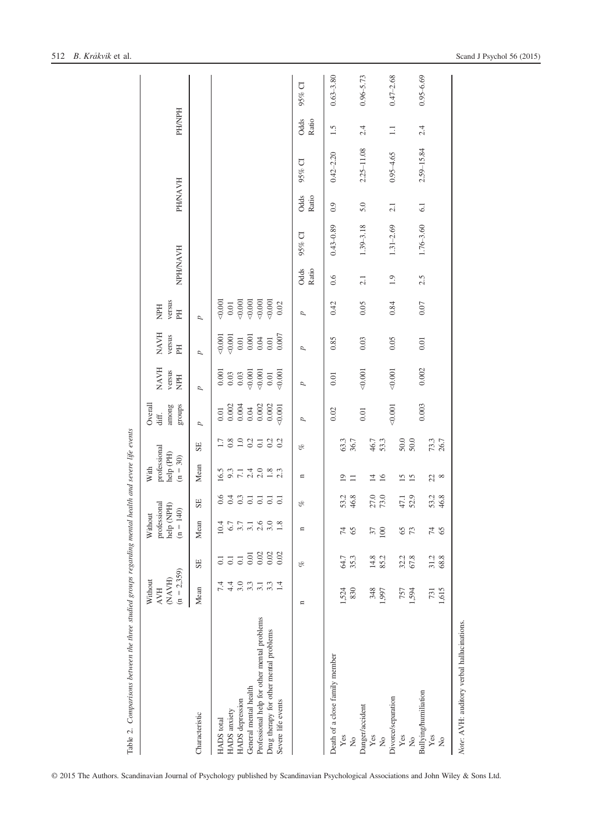| Table 2. Comparisons between the three studied groups regarding mental health and severe life events |                                                  |                          |                                                            |                                      |                                                 |              |                                                                        |                                                                        |                               |                     |               |               |                |                |               |               |
|------------------------------------------------------------------------------------------------------|--------------------------------------------------|--------------------------|------------------------------------------------------------|--------------------------------------|-------------------------------------------------|--------------|------------------------------------------------------------------------|------------------------------------------------------------------------|-------------------------------|---------------------|---------------|---------------|----------------|----------------|---------------|---------------|
|                                                                                                      | $(n = 2,359)$<br>(NAVH)<br>Without<br><b>AVH</b> |                          | professional<br>help $(\mathrm{NPH})$<br>Without<br>$(n =$ | $\widehat{40}$                       | professional<br>help (PH)<br>$(n = 30)$<br>With |              | Overall<br>among<br>groups<br>diff.                                    | <b>NAVH</b><br>versus<br><b>NPH</b>                                    | <b>NAVH</b><br>versus<br>PH   | versus<br>HdM<br>EH | NPH/NAVH      |               | <b>PH/NAVH</b> |                | <b>HYNPH</b>  |               |
| Characteristic                                                                                       | Mean                                             | SE                       | Mean                                                       | SE                                   | Mean                                            | SE           | p                                                                      | p                                                                      | Þ                             | d                   |               |               |                |                |               |               |
| HADS anxiety<br>HADS total                                                                           | 7.4<br>4.4                                       | $\Xi$<br>$\overline{c}$  | $6.7\,$<br>10.4                                            | 0.6                                  | 16.5                                            | 1.38933      | $\begin{array}{c} 0.01 \\ 0.002 \\ 0.004 \\ 0.04 \\ 0.002 \end{array}$ | $\begin{array}{c} 0.001 \\ 0.03 \\ 0.03 \\ 0.00 \\ \hline \end{array}$ | 0.001<br>0.001                | 0.001<br>$0.01\,$   |               |               |                |                |               |               |
| General mental health<br><b>HADS</b> depression                                                      | 3.0<br>3.3                                       | 0.01<br>$\overline{0}$ . | $3.7$<br>$3.1$<br>$2.6$                                    | $0.1$<br>$0.1$<br>$0.1$              | $9.3$<br>$7.1$<br>$2.4$                         |              |                                                                        |                                                                        | $0.001$<br>$0.001$<br>$0.001$ | 0.001<br>0.001      |               |               |                |                |               |               |
| Professional help for other mental problems                                                          | 3.1                                              | 0.02                     |                                                            |                                      | 2.0                                             |              |                                                                        | 0.001                                                                  |                               | 0.001               |               |               |                |                |               |               |
| Drug therapy for other mental problems<br>Severe life events                                         | 1.4<br>3.3                                       | 0.02<br>0.02             | 3.0<br>1.8                                                 | $\overline{0}$ .<br>$\overline{0}$ . | 1.8                                             | 0.2<br>0.2   | $0.002\,$<br>0.001                                                     | 0.001<br>$0.01\,$                                                      | 0.007                         | 0.001<br>0.02       |               |               |                |                |               |               |
|                                                                                                      | $\mathbf{u}$                                     | oz                       | n                                                          | of                                   | $\mathbf{u}$                                    | of           | p                                                                      | p                                                                      | d                             | d                   | Odds<br>Ratio | 95% CI        | Odds<br>Ratio  | 95% CI         | Odds<br>Ratio | 95% CI        |
| Death of a close family member                                                                       |                                                  |                          |                                                            |                                      |                                                 |              | $0.02\,$                                                               | $0.01\,$                                                               | 0.85                          | 0.42                | 0.6           | $0.43 - 0.89$ | 0.9            | $0.42 - 2.20$  | 1.5           | $0.63 - 3.80$ |
| Yes<br>$\tilde{z}$                                                                                   | 1,524<br>830                                     | 35.3<br>64.7             | 74<br>65                                                   | 53.2<br>46.8                         | $\overline{19}$<br>$\Box$                       | 63.3<br>36.7 |                                                                        |                                                                        |                               |                     |               |               |                |                |               |               |
| Danger/accident                                                                                      |                                                  |                          |                                                            |                                      |                                                 |              | 0.01                                                                   | 0.001                                                                  | $0.03\,$                      | 0.05                | 2.1           | $1.39 - 3.18$ | 5.0            | $2.25 - 11.08$ | 2.4           | $0.96 - 5.73$ |
| Yes<br>$\tilde{z}$                                                                                   | 348<br>1,997                                     | 14.8<br>85.2             | 37<br>100                                                  | 27.0<br>73.0                         | $\overline{1}$<br>16                            | 46.7<br>53.3 |                                                                        |                                                                        |                               |                     |               |               |                |                |               |               |
| Divorce/separation                                                                                   |                                                  |                          |                                                            |                                      |                                                 |              | 0.001                                                                  | 0.001                                                                  | 0.05                          | 0.84                | 1.9           | $1.31 - 2.69$ | 2.1            | $0.95 - 4.65$  | $\Box$        | $0.47 - 2.68$ |
| Yes<br>$\frac{1}{2}$                                                                                 | 757<br>1,594                                     | 32.2<br>67.8             | 65<br>73                                                   | 52.9<br>47.1                         | 15<br>15                                        | 50.0<br>50.0 |                                                                        |                                                                        |                               |                     |               |               |                |                |               |               |
| Bullying/humiliation                                                                                 |                                                  |                          |                                                            |                                      |                                                 |              | 0.003                                                                  | 0.002                                                                  | $0.01\,$                      | $0.07\,$            | 2.5           | $1.76 - 3.60$ | 6.1            | $2.59 - 15.84$ | 2.4           | $0.95 - 6.69$ |
| Yes<br>$\tilde{z}$                                                                                   | 1,615<br>731                                     | 31.2<br>68.8             | 74<br>65                                                   | 53.2<br>46.8                         | 22                                              | 73.3<br>26.7 |                                                                        |                                                                        |                               |                     |               |               |                |                |               |               |
| Note: AVH: auditory verbal hallucinations.                                                           |                                                  |                          |                                                            |                                      |                                                 |              |                                                                        |                                                                        |                               |                     |               |               |                |                |               |               |

© 2015 The Authors. Scandinavian Journal of Psychology published by Scandinavian Psychological Associations and John Wiley & Sons Ltd.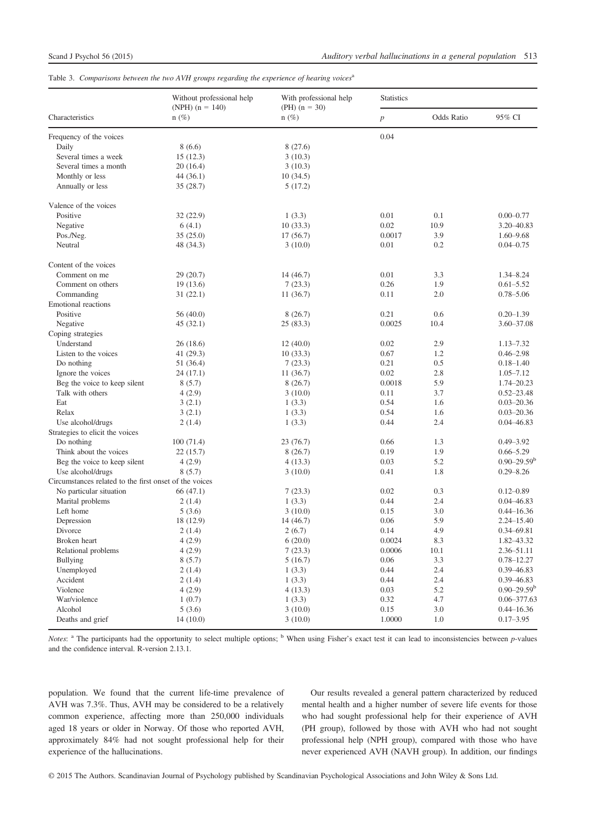Table 3. Comparisons between the two AVH groups regarding the experience of hearing voices<sup>a</sup>

|                                                        | Without professional help    | With professional help     | <b>Statistics</b> |                   |                        |
|--------------------------------------------------------|------------------------------|----------------------------|-------------------|-------------------|------------------------|
| Characteristics                                        | (NPH) $(n = 140)$<br>$n(\%)$ | $(PH)$ (n = 30)<br>$n(\%)$ | $\boldsymbol{p}$  | <b>Odds Ratio</b> | 95% CI                 |
| Frequency of the voices                                |                              |                            | 0.04              |                   |                        |
| Daily                                                  | 8(6.6)                       | 8(27.6)                    |                   |                   |                        |
| Several times a week                                   | 15(12.3)                     | 3(10.3)                    |                   |                   |                        |
| Several times a month                                  | 20(16.4)                     | 3(10.3)                    |                   |                   |                        |
| Monthly or less                                        | 44 (36.1)                    | 10(34.5)                   |                   |                   |                        |
| Annually or less                                       | 35(28.7)                     | 5(17.2)                    |                   |                   |                        |
| Valence of the voices                                  |                              |                            |                   |                   |                        |
| Positive                                               | 32(22.9)                     | 1(3.3)                     | 0.01              | 0.1               | $0.00 - 0.77$          |
| Negative                                               | 6(4.1)                       | 10(33.3)                   | 0.02              | 10.9              | 3.20 - 40.83           |
| Pos./Neg.                                              | 35(25.0)                     | 17(56.7)                   | 0.0017            | 3.9               | $1.60 - 9.68$          |
| Neutral                                                | 48 (34.3)                    | 3(10.0)                    | 0.01              | 0.2               | $0.04 - 0.75$          |
| Content of the voices                                  |                              |                            |                   |                   |                        |
| Comment on me                                          | 29(20.7)                     | 14 (46.7)                  | 0.01              | 3.3               | 1.34-8.24              |
| Comment on others                                      | 19(13.6)                     | 7(23.3)                    | 0.26              | 1.9               | $0.61 - 5.52$          |
| Commanding                                             | 31(22.1)                     | 11(36.7)                   | 0.11              | 2.0               | $0.78 - 5.06$          |
| <b>Emotional reactions</b>                             |                              |                            |                   |                   |                        |
| Positive                                               | 56(40.0)                     | 8(26.7)                    | 0.21              | 0.6               | $0.20 - 1.39$          |
| Negative                                               | 45(32.1)                     | 25(83.3)                   | 0.0025            | 10.4              | 3.60-37.08             |
| Coping strategies                                      |                              |                            |                   |                   |                        |
| Understand                                             | 26(18.6)                     | 12(40.0)                   | 0.02              | 2.9               | $1.13 - 7.32$          |
| Listen to the voices                                   | 41 (29.3)                    | 10(33.3)                   | 0.67              | 1.2               | $0.46 - 2.98$          |
| Do nothing                                             | 51 (36.4)                    | 7(23.3)                    | 0.21              | 0.5               | $0.18 - 1.40$          |
| Ignore the voices                                      | 24(17.1)                     | 11(36.7)                   | 0.02              | 2.8               | $1.05 - 7.12$          |
| Beg the voice to keep silent                           | 8(5.7)                       | 8(26.7)                    | 0.0018            | 5.9               | 1.74-20.23             |
| Talk with others                                       | 4(2.9)                       | 3(10.0)                    | 0.11              | 3.7               | $0.52 - 23.48$         |
| Eat                                                    | 3(2.1)                       | 1(3.3)                     | 0.54              | 1.6               | $0.03 - 20.36$         |
| Relax                                                  | 3(2.1)                       | 1(3.3)                     | 0.54              | 1.6               | $0.03 - 20.36$         |
| Use alcohol/drugs                                      | 2(1.4)                       | 1(3.3)                     | 0.44              | 2.4               | $0.04 - 46.83$         |
| Strategies to elicit the voices                        |                              |                            |                   |                   |                        |
| Do nothing                                             | 100(71.4)                    | 23 (76.7)                  | 0.66              | 1.3               | $0.49 - 3.92$          |
| Think about the voices                                 | 22(15.7)                     | 8(26.7)                    | 0.19              | 1.9               | $0.66 - 5.29$          |
| Beg the voice to keep silent                           | 4(2.9)                       | 4(13.3)                    | 0.03              | 5.2               | $0.90 - 29.59^{\rm b}$ |
| Use alcohol/drugs                                      | 8(5.7)                       | 3(10.0)                    | 0.41              | 1.8               | $0.29 - 8.26$          |
| Circumstances related to the first onset of the voices |                              |                            |                   |                   |                        |
| No particular situation                                | 66(47.1)                     | 7(23.3)                    | 0.02              | 0.3               | $0.12 - 0.89$          |
| Marital problems                                       | 2(1.4)                       | 1(3.3)                     | 0.44              | 2.4               | $0.04 - 46.83$         |
| Left home                                              | 5(3.6)                       | 3(10.0)                    | 0.15              | 3.0               | $0.44 - 16.36$         |
| Depression                                             | 18 (12.9)                    | 14(46.7)                   | 0.06              | 5.9               | $2.24 - 15.40$         |
| Divorce                                                | 2(1.4)                       | 2(6.7)                     | 0.14              | 4.9               | 0.34-69.81             |
| Broken heart                                           | 4(2.9)                       | 6(20.0)                    | 0.0024            | 8.3               | 1.82-43.32             |
| Relational problems                                    | 4(2.9)                       | 7(23.3)                    | 0.0006            | 10.1              | 2.36-51.11             |
| <b>Bullying</b>                                        | 8(5.7)                       | 5(16.7)                    | 0.06              | 3.3               | $0.78 - 12.27$         |
| Unemployed                                             | 2(1.4)                       | 1(3.3)                     | 0.44              | 2.4               | 0.39 - 46.83           |
| Accident                                               | 2(1.4)                       | 1(3.3)                     | 0.44              | 2.4               | 0.39 - 46.83           |
| Violence                                               | 4(2.9)                       | 4(13.3)                    | 0.03              | 5.2               | $0.90 - 29.59^{\rm b}$ |
| War/violence                                           | 1(0.7)                       | 1(3.3)                     | 0.32              | 4.7               | $0.06 - 377.63$        |
| Alcohol                                                | 5(3.6)                       | 3(10.0)                    | 0.15              | 3.0               | $0.44 - 16.36$         |
| Deaths and grief                                       | 14(10.0)                     | 3(10.0)                    | 1.0000            | 1.0               | $0.17 - 3.95$          |

*Notes*:  $a$  The participants had the opportunity to select multiple options;  $b$  When using Fisher's exact test it can lead to inconsistencies between p-values and the confidence interval. R-version 2.13.1.

population. We found that the current life-time prevalence of AVH was 7.3%. Thus, AVH may be considered to be a relatively common experience, affecting more than 250,000 individuals aged 18 years or older in Norway. Of those who reported AVH, approximately 84% had not sought professional help for their experience of the hallucinations.

Our results revealed a general pattern characterized by reduced mental health and a higher number of severe life events for those who had sought professional help for their experience of AVH (PH group), followed by those with AVH who had not sought professional help (NPH group), compared with those who have never experienced AVH (NAVH group). In addition, our findings

© 2015 The Authors. Scandinavian Journal of Psychology published by Scandinavian Psychological Associations and John Wiley & Sons Ltd.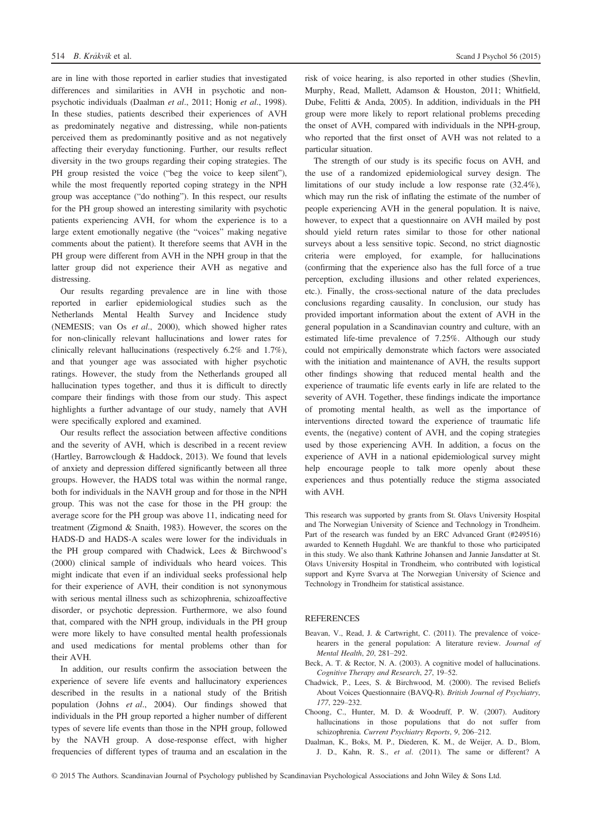are in line with those reported in earlier studies that investigated differences and similarities in AVH in psychotic and nonpsychotic individuals (Daalman et al., 2011; Honig et al., 1998). In these studies, patients described their experiences of AVH as predominately negative and distressing, while non-patients perceived them as predominantly positive and as not negatively affecting their everyday functioning. Further, our results reflect diversity in the two groups regarding their coping strategies. The PH group resisted the voice ("beg the voice to keep silent"), while the most frequently reported coping strategy in the NPH group was acceptance ("do nothing"). In this respect, our results for the PH group showed an interesting similarity with psychotic patients experiencing AVH, for whom the experience is to a large extent emotionally negative (the "voices" making negative comments about the patient). It therefore seems that AVH in the PH group were different from AVH in the NPH group in that the latter group did not experience their AVH as negative and distressing.

Our results regarding prevalence are in line with those reported in earlier epidemiological studies such as the Netherlands Mental Health Survey and Incidence study (NEMESIS; van Os et al., 2000), which showed higher rates for non-clinically relevant hallucinations and lower rates for clinically relevant hallucinations (respectively 6.2% and 1.7%), and that younger age was associated with higher psychotic ratings. However, the study from the Netherlands grouped all hallucination types together, and thus it is difficult to directly compare their findings with those from our study. This aspect highlights a further advantage of our study, namely that AVH were specifically explored and examined.

Our results reflect the association between affective conditions and the severity of AVH, which is described in a recent review (Hartley, Barrowclough & Haddock, 2013). We found that levels of anxiety and depression differed significantly between all three groups. However, the HADS total was within the normal range, both for individuals in the NAVH group and for those in the NPH group. This was not the case for those in the PH group: the average score for the PH group was above 11, indicating need for treatment (Zigmond & Snaith, 1983). However, the scores on the HADS-D and HADS-A scales were lower for the individuals in the PH group compared with Chadwick, Lees & Birchwood's (2000) clinical sample of individuals who heard voices. This might indicate that even if an individual seeks professional help for their experience of AVH, their condition is not synonymous with serious mental illness such as schizophrenia, schizoaffective disorder, or psychotic depression. Furthermore, we also found that, compared with the NPH group, individuals in the PH group were more likely to have consulted mental health professionals and used medications for mental problems other than for their AVH.

In addition, our results confirm the association between the experience of severe life events and hallucinatory experiences described in the results in a national study of the British population (Johns et al., 2004). Our findings showed that individuals in the PH group reported a higher number of different types of severe life events than those in the NPH group, followed by the NAVH group. A dose-response effect, with higher frequencies of different types of trauma and an escalation in the risk of voice hearing, is also reported in other studies (Shevlin, Murphy, Read, Mallett, Adamson & Houston, 2011; Whitfield, Dube, Felitti & Anda, 2005). In addition, individuals in the PH group were more likely to report relational problems preceding the onset of AVH, compared with individuals in the NPH-group, who reported that the first onset of AVH was not related to a particular situation.

The strength of our study is its specific focus on AVH, and the use of a randomized epidemiological survey design. The limitations of our study include a low response rate (32.4%), which may run the risk of inflating the estimate of the number of people experiencing AVH in the general population. It is naive, however, to expect that a questionnaire on AVH mailed by post should yield return rates similar to those for other national surveys about a less sensitive topic. Second, no strict diagnostic criteria were employed, for example, for hallucinations (confirming that the experience also has the full force of a true perception, excluding illusions and other related experiences, etc.). Finally, the cross-sectional nature of the data precludes conclusions regarding causality. In conclusion, our study has provided important information about the extent of AVH in the general population in a Scandinavian country and culture, with an estimated life-time prevalence of 7.25%. Although our study could not empirically demonstrate which factors were associated with the initiation and maintenance of AVH, the results support other findings showing that reduced mental health and the experience of traumatic life events early in life are related to the severity of AVH. Together, these findings indicate the importance of promoting mental health, as well as the importance of interventions directed toward the experience of traumatic life events, the (negative) content of AVH, and the coping strategies used by those experiencing AVH. In addition, a focus on the experience of AVH in a national epidemiological survey might help encourage people to talk more openly about these experiences and thus potentially reduce the stigma associated with AVH.

This research was supported by grants from St. Olavs University Hospital and The Norwegian University of Science and Technology in Trondheim. Part of the research was funded by an ERC Advanced Grant (#249516) awarded to Kenneth Hugdahl. We are thankful to those who participated in this study. We also thank Kathrine Johansen and Jannie Jansdatter at St. Olavs University Hospital in Trondheim, who contributed with logistical support and Kyrre Svarva at The Norwegian University of Science and Technology in Trondheim for statistical assistance.

## REFERENCES

- Beavan, V., Read, J. & Cartwright, C. (2011). The prevalence of voicehearers in the general population: A literature review. Journal of Mental Health, 20, 281–292.
- Beck, A. T. & Rector, N. A. (2003). A cognitive model of hallucinations. Cognitive Therapy and Research, 27, 19–52.
- Chadwick, P., Lees, S. & Birchwood, M. (2000). The revised Beliefs About Voices Questionnaire (BAVQ-R). British Journal of Psychiatry, 177, 229–232.
- Choong, C., Hunter, M. D. & Woodruff, P. W. (2007). Auditory hallucinations in those populations that do not suffer from schizophrenia. Current Psychiatry Reports, 9, 206–212.
- Daalman, K., Boks, M. P., Diederen, K. M., de Weijer, A. D., Blom, J. D., Kahn, R. S., et al. (2011). The same or different? A